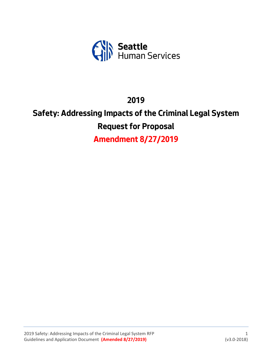

## **2019**

# **Safety: Addressing Impacts of the Criminal Legal System Request for Proposal**

**Amendment 8/27/2019**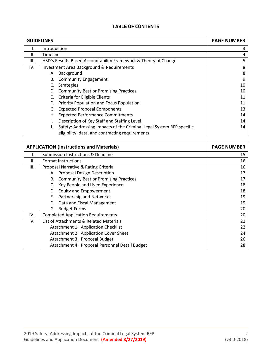## **TABLE OF CONTENTS**

| <b>GUIDELINES</b> |                                                                                                                         | <b>PAGE NUMBER</b> |
|-------------------|-------------------------------------------------------------------------------------------------------------------------|--------------------|
|                   | Introduction                                                                                                            |                    |
| II.               | Timeline                                                                                                                | 4                  |
| III.              | HSD's Results-Based Accountability Framework & Theory of Change                                                         | 5                  |
| IV.               | <b>Investment Area Background &amp; Requirements</b>                                                                    | 8                  |
|                   | Background<br>А.                                                                                                        | 8                  |
|                   | <b>B.</b> Community Engagement                                                                                          | 9                  |
|                   | <b>Strategies</b><br>C.                                                                                                 | 10                 |
|                   | D. Community Best or Promising Practices                                                                                | 10                 |
|                   | E. Criteria for Eligible Clients                                                                                        | 11                 |
|                   | Priority Population and Focus Population<br>F.                                                                          | 11                 |
|                   | <b>Expected Proposal Components</b><br>G.                                                                               | 13                 |
|                   | <b>Expected Performance Commitments</b><br>Н.                                                                           | 14                 |
|                   | Description of Key Staff and Staffing Level<br>I.                                                                       | 14                 |
|                   | Safety: Addressing Impacts of the Criminal Legal System RFP specific<br>eligibility, data, and contracting requirements | 14                 |

|      | <b>APPLICATION (Instructions and Materials)</b>    | <b>PAGE NUMBER</b> |
|------|----------------------------------------------------|--------------------|
|      | Submission Instructions & Deadline                 | 15                 |
| Ш.   | <b>Format Instructions</b>                         | 16                 |
| III. | Proposal Narrative & Rating Criteria               | 16                 |
|      | A. Proposal Design Description                     | 17                 |
|      | <b>Community Best or Promising Practices</b><br>В. | 17                 |
|      | Key People and Lived Experience                    | 18                 |
|      | <b>Equity and Empowerment</b><br>D.                | 18                 |
|      | Partnership and Networks<br>Е.                     | 19                 |
|      | Data and Fiscal Management<br>F.                   | 19                 |
|      | <b>Budget Forms</b><br>G.                          | 20                 |
| IV.  | <b>Completed Application Requirements</b>          | 20                 |
| V.   | List of Attachments & Related Materials            | 21                 |
|      | Attachment 1: Application Checklist                | 22                 |
|      | Attachment 2: Application Cover Sheet              | 24                 |
|      | Attachment 3: Proposal Budget                      | 26                 |
|      | Attachment 4: Proposal Personnel Detail Budget     | 28                 |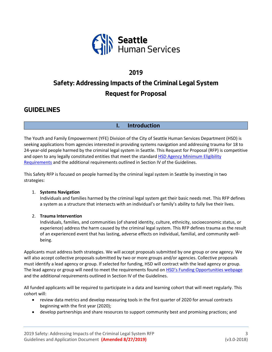

## **2019 Safety: Addressing Impacts of the Criminal Legal System Request for Proposal**

## **GUIDELINES**

## **I. Introduction**

The Youth and Family Empowerment (YFE) Division of the City of Seattle Human Services Department (HSD) is seeking applications from agencies interested in providing systems navigation and addressing trauma for 18 to 24-year-old people harmed by the criminal legal system in Seattle. This Request for Proposal (RFP) is competitive and open to any legally constituted entities that meet the standard HSD Agency Minimum Eligibility [Requirements](http://www.seattle.gov/humanservices/funding-and-reports/funding-opportunities) and the additional requirements outlined in Section IV of the Guidelines.

This Safety RFP is focused on people harmed by the criminal legal system in Seattle by investing in two strategies:

#### 1. **Systems Navigation**

Individuals and families harmed by the criminal legal system get their basic needs met. This RFP defines a system as a structure that intersects with an individual's or family's ability to fully live their lives.

#### 2. **Trauma Intervention**

Individuals, families, and communities (of shared identity, culture, ethnicity, socioeconomic status, or experience) address the harm caused by the criminal legal system. This RFP defines trauma as the result of an experienced event that has lasting, adverse effects on individual, familial, and community wellbeing.

Applicants must address both strategies. We will accept proposals submitted by one group or one agency. We will also accept collective proposals submitted by two or more groups and/or agencies. Collective proposals must identify a lead agency or group. If selected for funding, HSD will contract with the lead agency or group. The lead agency or group will need to meet the requirements found on [HSD's Funding Opportunities webpage](http://www.seattle.gov/humanservices/funding-and-reports/funding-opportunities) and the additional requirements outlined in Section IV of the Guidelines.

All funded applicants will be required to participate in a data and learning cohort that will meet regularly. This cohort will:

- review data metrics and develop measuring tools in the first quarter of 2020 for annual contracts beginning with the first year (2020);
- develop partnerships and share resources to support community best and promising practices; and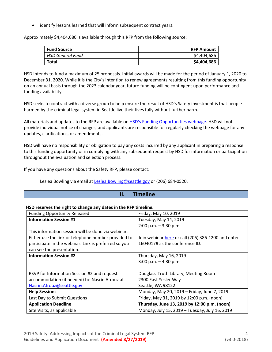identify lessons learned that will inform subsequent contract years.

Approximately \$4,404,686 is available through this RFP from the following source:

| <b>Fund Source</b> | <b>RFP Amount</b> |
|--------------------|-------------------|
| HSD General Fund   | \$4,404,686       |
| Total              | \$4,404,686       |

HSD intends to fund a maximum of 25 proposals. Initial awards will be made for the period of January 1, 2020 to December 31, 2020. While it is the City's intention to renew agreements resulting from this funding opportunity on an annual basis through the 2023 calendar year, future funding will be contingent upon performance and funding availability.

HSD seeks to contract with a diverse group to help ensure the result of HSD's Safety investment is that people harmed by the criminal legal system in Seattle live their lives fully without further harm.

All materials and updates to the RFP are available on HSD's [Funding Opportunities webpage.](http://www.seattle.gov/humanservices/funding-and-reports/funding-opportunities) HSD will not provide individual notice of changes, and applicants are responsible for regularly checking the webpage for any updates, clarifications, or amendments.

HSD will have no responsibility or obligation to pay any costs incurred by any applicant in preparing a response to this funding opportunity or in complying with any subsequent request by HSD for information or participation throughout the evaluation and selection process.

If you have any questions about the Safety RFP, please contact:

Leslea Bowling via email at [Leslea.Bowling@seattle.gov](mailto:Leslea.Bowling@seattle.gov) or (206) 684-0520.

## **II. Timeline**

#### **HSD reserves the right to change any dates in the RFP timeline.**

| <b>Funding Opportunity Released</b>                  | Friday, May 10, 2019                               |
|------------------------------------------------------|----------------------------------------------------|
| <b>Information Session #1</b>                        | Tuesday, May 14, 2019                              |
|                                                      | $2:00$ p.m. $-3:30$ p.m.                           |
| This information session will be done via webinar.   |                                                    |
| Either use the link or telephone number provided to  | Join webinar here or call (206) 386-1200 and enter |
| participate in the webinar. Link is preferred so you | 1604017# as the conference ID.                     |
| can see the presentation.                            |                                                    |
| <b>Information Session #2</b>                        | Thursday, May 16, 2019                             |
|                                                      | 3:00 p.m. $-$ 4:30 p.m.                            |
|                                                      |                                                    |
| RSVP for Information Session #2 and request          | Douglass-Truth Library, Meeting Room               |
| accommodation (if needed) to: Nasrin Afrouz at       | 2300 East Yesler Way                               |
| Nasrin.Afrouz@seattle.gov                            | Seattle, WA 98122                                  |
| <b>Help Sessions</b>                                 | Monday, May 20, 2019 - Friday, June 7, 2019        |
| Last Day to Submit Questions                         | Friday, May 31, 2019 by 12:00 p.m. (noon)          |
| <b>Application Deadline</b>                          | Thursday, June 13, 2019 by 12:00 p.m. (noon)       |
| Site Visits, as applicable                           | Monday, July 15, 2019 - Tuesday, July 16, 2019     |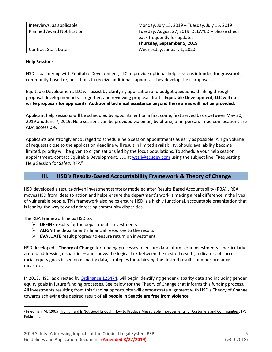| Interviews, as applicable         | Monday, July 15, 2019 - Tuesday, July 16, 2019  |  |  |
|-----------------------------------|-------------------------------------------------|--|--|
| <b>Planned Award Notification</b> | Tuesday, August 27, 2019 DELAYED - please check |  |  |
|                                   | back frequently for updates.                    |  |  |
|                                   | Thursday, September 5, 2019                     |  |  |
| <b>Contract Start Date</b>        | Wednesday, January 1, 2020                      |  |  |

#### **Help Sessions**

HSD is partnering with Equitable Development, LLC to provide optional help sessions intended for grassroots, community-based organizations to receive additional support as they develop their proposals.

Equitable Development, LLC will assist by clarifying application and budget questions, thinking through proposal development ideas together, and reviewing proposal drafts. **Equitable Development, LLC will not write proposals for applicants. Additional technical assistance beyond these areas will not be provided.**

Applicant help sessions will be scheduled by appointment on a first come, first served basis between May 20, 2019 and June 7, 2019. Help sessions can be provided via email, by phone, or in-person. In-person locations are ADA accessible.

Applicants are strongly encouraged to schedule help session appointments as early as possible. A high volume of requests close to the application deadline will result in limited availability. Should availability become limited, priority will be given to organizations led by the focus populations. To schedule your help session appointment, contact Equitable Development, LLC a[t wtali@eqsdev.com](mailto:wtali@eqsdev.com) using the subject line: "Requesting Help Session for Safety RFP."

#### **III. HSD's Results-Based Accountability Framework & Theory of Change**

HSD developed a results-driven investment strategy modeled after Results Based Accountability (RBA)<sup>1</sup>. RBA moves HSD from ideas to action and helps ensure the department's work is making a real difference in the lives of vulnerable people. This framework also helps ensure HSD is a highly functional, accountable organization that is leading the way toward addressing community disparities.

The RBA Framework helps HSD to:

- ➢ **DEFINE** results for the department's investments
- ➢ **ALIGN** the department's financial resources to the results
- ➢ **EVALUATE** result progress to ensure return on investment

HSD developed a **Theory of Change** for funding processes to ensure data informs our investments – particularly around addressing disparities – and shows the logical link between the desired results, indicators of success, racial equity goals based on disparity data, strategies for achieving the desired results, and performance measures.

In 2018, HSD, as directed by [Ordinance 125474,](https://seattle.legistar.com/View.ashx?M=F&ID=5695995&GUID=30B3D03D-870E-4283-8341-F6AE4D046BF0) will begin identifying gender disparity data and including gender equity goals in future funding processes. See below for the Theory of Change that informs this funding process. All investments resulting from this funding opportunity will demonstrate alignment with HSD's Theory of Change towards achieving the desired result of **all people in Seattle are free from violence**.

<sup>&</sup>lt;sup>1</sup> Friedman, M. (2005) Trying Hard Is Not Good Enough: How to Produce Measurable Improvements for Customers and Communities: FPSI Publishing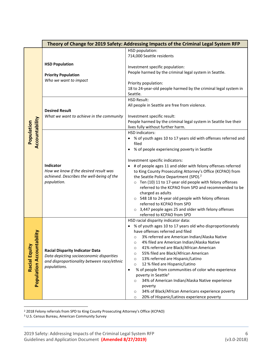|                                                              | Theory of Change for 2019 Safety: Addressing Impacts of the Criminal Legal System RFP                                                             |                                                                                                                                                                                                                                                                                                                                                                                                                                                                                                                                                                                                                                                                                                                                                                                                                      |  |  |
|--------------------------------------------------------------|---------------------------------------------------------------------------------------------------------------------------------------------------|----------------------------------------------------------------------------------------------------------------------------------------------------------------------------------------------------------------------------------------------------------------------------------------------------------------------------------------------------------------------------------------------------------------------------------------------------------------------------------------------------------------------------------------------------------------------------------------------------------------------------------------------------------------------------------------------------------------------------------------------------------------------------------------------------------------------|--|--|
|                                                              | <b>HSD Population</b><br><b>Priority Population</b><br>Who we want to impact<br><b>Desired Result</b><br>What we want to achieve in the community | HSD population:<br>714,000 Seattle residents<br>Investment specific population:<br>People harmed by the criminal legal system in Seattle.<br>Priority population:<br>18 to 24-year-old people harmed by the criminal legal system in<br>Seattle.<br><b>HSD Result:</b><br>All people in Seattle are free from violence.<br>Investment specific result:                                                                                                                                                                                                                                                                                                                                                                                                                                                               |  |  |
| Accountability<br>Population                                 | Indicator<br>How we know if the desired result was<br>achieved. Describes the well-being of the<br>population.                                    | People harmed by the criminal legal system in Seattle live their<br>lives fully without further harm.<br><b>HSD indicators:</b><br>% of youth ages 10 to 17 years old with offenses referred and<br>filed<br>% of people experiencing poverty in Seattle<br>$\bullet$<br>Investment specific indicators:<br># of people ages 11 and older with felony offenses referred<br>to King County Prosecuting Attorney's Office (KCPAO) from<br>the Seattle Police Department (SPD). <sup>2</sup><br>o Ten (10) 11 to 17-year old people with felony offenses<br>referred to the KCPAO from SPD and recommended to be<br>charged as adults<br>○ 548 18 to 24-year old people with felony offenses<br>referred to KCPAO from SPD<br>$\circ$ 3,447 people ages 25 and older with felony offenses<br>referred to KCPAO from SPD |  |  |
| <u>ility</u><br><b>Population Accountab</b><br>Racial Equity | <b>Racial Disparity Indicator Data</b><br>Data depicting socioeconomic disparities<br>and disproportionality between race/ethnic<br>populations.  | HSD racial disparity indicator data:<br>% of youth ages 10 to 17 years old who disproportionately<br>have offenses referred and filed<br>3% referred are American Indian/Alaska Native<br>4% filed are American Indian/Alaska Native<br>$\circ$<br>41% referred are Black/African American<br>$\circ$<br>55% filed are Black/African American<br>$\circ$<br>13% referred are Hispanic/Latino<br>$\circ$<br>12 % filed are Hispanic/Latino<br>$\circ$<br>% of people from communities of color who experience<br>$\bullet$<br>poverty in Seattle <sup>3</sup><br>34% of American Indian/Alaska Native experience<br>$\circ$<br>poverty<br>34% of Black/African Americans experience poverty<br>$\circ$<br>20% of Hispanic/Latinos experience poverty<br>$\circ$                                                       |  |  |

<sup>2</sup> 2018 Felony referrals from SPD to King County Prosecuting Attorney's Office (KCPAO)

<sup>3</sup> U.S. Census Bureau, American Community Survey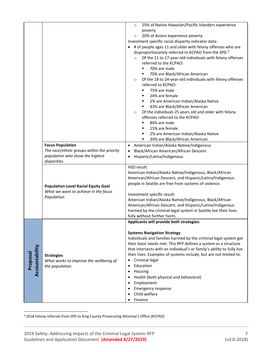|                            | <b>Focus Population</b><br>The race/ethnic groups within the priority<br>population who show the highest          | 25% of Native Hawaiian/Pacific Islanders experience<br>$\circ$<br>poverty<br>20% of Asians experience poverty<br>$\circ$<br>Investment specific racial disparity indicator data:<br>• # of people ages 11 and older with felony offenses who are<br>disproportionately referred to KCPAO from the SPD. <sup>4</sup><br>Of the 11 to 17-year-old individuals with felony offenses<br>$\circ$<br>referred to the KCPAO:<br>70% are male<br>٠<br>70% are Black/African American<br>٠<br>Of the 18 to 24-year-old individuals with felony offenses<br>$\circ$<br>referred to KCPAO:<br>75% are male<br>٠<br>24% are female<br>٠.<br>2% are American Indian/Alaska Native<br>$\blacksquare$<br>43% are Black/African American<br>٠<br>Of the individuals 25 years old and older with felony<br>$\circ$<br>offenses referred to the KCPAO:<br>84% are male<br>٠<br>15% are female<br>٠<br>2% are American Indian/Alaska Native<br>٠<br>34% are Black/African American<br>American Indian/Alaska Native/Indigenous<br>Black/African American/African Descent<br>Hispanic/Latinx/Indigenous |
|----------------------------|-------------------------------------------------------------------------------------------------------------------|-------------------------------------------------------------------------------------------------------------------------------------------------------------------------------------------------------------------------------------------------------------------------------------------------------------------------------------------------------------------------------------------------------------------------------------------------------------------------------------------------------------------------------------------------------------------------------------------------------------------------------------------------------------------------------------------------------------------------------------------------------------------------------------------------------------------------------------------------------------------------------------------------------------------------------------------------------------------------------------------------------------------------------------------------------------------------------------|
|                            | disparities.<br><b>Population-Level Racial Equity Goal</b><br>What we want to achieve in the focus<br>Population. | HSD result:<br>American Indian/Alaska Native/Indigenous, Black/African<br>American/African Descent, and Hispanic/Latinx/Indigenous<br>people in Seattle are free from systems of violence.<br>Investment specific result:<br>American Indian/Alaska Native/Indigenous, Black/African<br>American/African Descent, and Hispanic/Latinx/Indigenous<br>harmed by the criminal legal system in Seattle live their lives<br>fully without further harm.                                                                                                                                                                                                                                                                                                                                                                                                                                                                                                                                                                                                                                  |
| Accountability<br>Proposal | <b>Strategies</b><br>What works to improve the wellbeing of<br>the population.                                    | Applicants will provide both strategies:<br><b>Systems Navigation Strategy</b><br>Individuals and families harmed by the criminal legal system get<br>their basic needs met. This RFP defines a system as a structure<br>that intersects with an individual's or family's ability to fully live<br>their lives. Examples of systems include, but are not limited to:<br>Criminal legal<br>Education<br>$\bullet$<br>Housing<br>Health (both physical and behavioral)<br>Employment<br><b>Emergency response</b><br>Child welfare<br>Finance                                                                                                                                                                                                                                                                                                                                                                                                                                                                                                                                         |

<sup>4</sup> 2018 Felony referrals from SPD to King County Prosecuting Attorney's Office (KCPAO)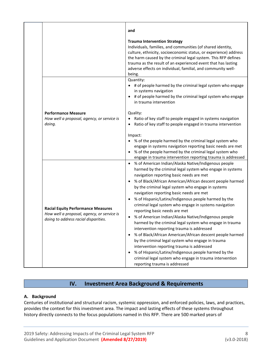|                                                                                                                                 | and                                                                                                                                                                                                                                                                                                                                                                                                                                                                                                                                                                                                                                                                                                                                                                                                                                                                                                                                                                                             |
|---------------------------------------------------------------------------------------------------------------------------------|-------------------------------------------------------------------------------------------------------------------------------------------------------------------------------------------------------------------------------------------------------------------------------------------------------------------------------------------------------------------------------------------------------------------------------------------------------------------------------------------------------------------------------------------------------------------------------------------------------------------------------------------------------------------------------------------------------------------------------------------------------------------------------------------------------------------------------------------------------------------------------------------------------------------------------------------------------------------------------------------------|
|                                                                                                                                 | <b>Trauma Intervention Strategy</b><br>Individuals, families, and communities (of shared identity,<br>culture, ethnicity, socioeconomic status, or experience) address<br>the harm caused by the criminal legal system. This RFP defines<br>trauma as the result of an experienced event that has lasting<br>adverse effects on individual, familial, and community well-<br>being.                                                                                                                                                                                                                                                                                                                                                                                                                                                                                                                                                                                                             |
|                                                                                                                                 | Quantity:<br>• # of people harmed by the criminal legal system who engage<br>in systems navigation<br># of people harmed by the criminal legal system who engage<br>$\bullet$<br>in trauma intervention                                                                                                                                                                                                                                                                                                                                                                                                                                                                                                                                                                                                                                                                                                                                                                                         |
| <b>Performance Measure</b><br>How well a proposal, agency, or service is<br>doing.                                              | Quality:<br>Ratio of key staff to people engaged in systems navigation<br>Ratio of key staff to people engaged in trauma intervention                                                                                                                                                                                                                                                                                                                                                                                                                                                                                                                                                                                                                                                                                                                                                                                                                                                           |
|                                                                                                                                 | Impact:<br>% of the people harmed by the criminal legal system who<br>engage in systems navigation reporting basic needs are met<br>% of the people harmed by the criminal legal system who<br>engage in trauma intervention reporting trauma is addressed                                                                                                                                                                                                                                                                                                                                                                                                                                                                                                                                                                                                                                                                                                                                      |
| <b>Racial Equity Performance Measures</b><br>How well a proposal, agency, or service is<br>doing to address racial disparities. | % of American Indian/Alaska Native/Indigenous people<br>$\bullet$<br>harmed by the criminal legal system who engage in systems<br>navigation reporting basic needs are met<br>% of Black/African American/African descent people harmed<br>by the criminal legal system who engage in systems<br>navigation reporting basic needs are met<br>% of Hispanic/Latinx/Indigenous people harmed by the<br>criminal legal system who engage in systems navigation<br>reporting basic needs are met<br>% of American Indian/Alaska Native/Indigenous people<br>harmed by the criminal legal system who engage in trauma<br>intervention reporting trauma is addressed<br>% of Black/African American/African descent people harmed<br>$\bullet$<br>by the criminal legal system who engage in trauma<br>intervention reporting trauma is addressed<br>% of Hispanic/Latinx/Indigenous people harmed by the<br>criminal legal system who engage in trauma intervention<br>reporting trauma is addressed |

## **IV. Investment Area Background & Requirements**

#### **A. Background**

Centuries of institutional and structural racism, systemic oppression, and enforced policies, laws, and practices, provides the context for this investment area. The impact and lasting effects of these systems throughout history directly connects to the focus populations named in this RFP. There are 500 marked years of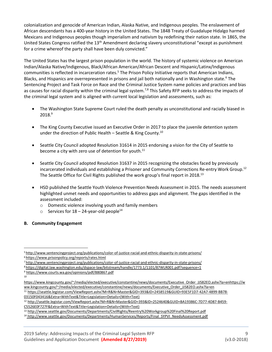colonialization and genocide of American Indian, Alaska Native, and Indigenous peoples. The enslavement of African descendants has a 400-year history in the United States. The 1848 Treaty of Guadalupe Hidalgo harmed Mexicans and Indigenous peoples though imperialism and nativism by redefining their nation state. In 1865, the United States Congress ratified the 13<sup>th</sup> Amendment declaring slavery unconstitutional "except as punishment for a crime whereof the party shall have been duly convicted."

The United States has the largest prison population in the world. The history of systemic violence on American Indian/Alaska Native/Indigenous, Black/African American/African Descent and Hispanic/Latinx/Indigenous communities is reflected in incarceration rates.<sup>5</sup> The Prison Policy Initiative reports that American Indians, Blacks, and Hispanics are overrepresented in prisons and jail both nationally and in Washington state.<sup>6</sup> The Sentencing Project and Task Force on Race and the Criminal Justice System name policies and practices and bias as causes for racial disparity within the criminal legal system.<sup>7,8</sup> This Safety RFP seeks to address the impacts of the criminal legal system and is aligned with current local legislation and assessments, such as:

- The Washington State Supreme Court ruled the death penalty as unconstitutional and racially biased in 2018. 9
- The King County Executive issued an Executive Order in 2017 to place the juvenile detention system under the direction of Public Health – Seattle & King County.<sup>10</sup>
- Seattle City Council adopted Resolution 31614 in 2015 endorsing a vision for the City of Seattle to become a city with zero use of detention for youth.<sup>11</sup>
- Seattle City Council adopted Resolution 31637 in 2015 recognizing the obstacles faced by previously incarcerated individuals and establishing a Prisoner and Community Corrections Re-entry Work Group. 12 The Seattle Office for Civil Rights published the work group's final report in 2018.<sup>13</sup>
- HSD published the Seattle Youth Violence Prevention Needs Assessment in 2015. The needs assessment highlighted unmet needs and opportunities to address gaps and alignment. The gaps identified in the assessment included:
	- o Domestic violence involving youth and family members
	- $\circ$  Services for 18 24-year-old people<sup>14</sup>
- **B. Community Engagement**

<sup>7</sup> http://www.sentencingproject.org/publications/color-of-justice-racial-and-ethnic-disparity-in-state-prisons/

<sup>12</sup> [http://seattle.legistar.com/ViewReport.ashx?M=R&N=Master&GID=393&ID=2524640&GUID=BA19386C-7D77-4D87-B459-](http://seattle.legistar.com/ViewReport.ashx?M=R&N=Master&GID=393&ID=2524640&GUID=BA19386C-7D77-4D87-B459-C5526E0F727F&Extra=WithText&Title=Legislation+Details+(With+Text)) [C5526E0F727F&Extra=WithText&Title=Legislation+Details+\(With+Text\)](http://seattle.legistar.com/ViewReport.ashx?M=R&N=Master&GID=393&ID=2524640&GUID=BA19386C-7D77-4D87-B459-C5526E0F727F&Extra=WithText&Title=Legislation+Details+(With+Text))

<sup>5</sup> http://www.sentencingproject.org/publications/color-of-justice-racial-and-ethnic-disparity-in-state-prisons/

<sup>6</sup> https://www.prisonpolicy.org/reports/rates.html

<sup>8</sup> https://digital.law.washington.edu/dspace-law/bitstream/handle/1773.1/1101/87WLR001.pdf?sequence=1

<sup>9</sup> <https://www.courts.wa.gov/opinions/pdf/880867.pdf>

 $10$ 

[https://www.kingcounty.gov/~/media/elected/executive/constantine/news/documents/Executive\\_Order\\_JJS82EO.ashx?la=enhttps://w](https://www.kingcounty.gov/~/media/elected/executive/constantine/news/documents/Executive_Order_JJS82EO.ashx?la=enhttps://www.kingcounty.gov/~/media/elected/executive/constantine/news/documents/Executive_Order_JJS82EO.ashx?la=en) [ww.kingcounty.gov/~/media/elected/executive/constantine/news/documents/Executive\\_Order\\_JJS82EO.ashx?la=en](https://www.kingcounty.gov/~/media/elected/executive/constantine/news/documents/Executive_Order_JJS82EO.ashx?la=enhttps://www.kingcounty.gov/~/media/elected/executive/constantine/news/documents/Executive_Order_JJS82EO.ashx?la=en)

<sup>11</sup> [https://seattle.legistar.com/ViewReport.ashx?M=R&N=Master&GID=393&ID=2458519&GUID=93E5F1D7-42A7-4899-BB78-](https://seattle.legistar.com/ViewReport.ashx?M=R&N=Master&GID=393&ID=2458519&GUID=93E5F1D7-42A7-4899-BB78-03150F043416&Extra=WithText&Title=Legislation+Details+(With+Text)) [03150F043416&Extra=WithText&Title=Legislation+Details+\(With+Text\)](https://seattle.legistar.com/ViewReport.ashx?M=R&N=Master&GID=393&ID=2458519&GUID=93E5F1D7-42A7-4899-BB78-03150F043416&Extra=WithText&Title=Legislation+Details+(With+Text))

<sup>13</sup> <http://www.seattle.gov/Documents/Departments/CivilRights/Reentry%20Workgroup%20Final%20Report.pdf>

<sup>&</sup>lt;sup>14</sup> [http://www.seattle.gov/Documents/Departments/HumanServices/Reports/Final\\_SYPVI\\_NeedsAssessment.pdf](http://www.seattle.gov/Documents/Departments/HumanServices/Reports/Final_SYPVI_NeedsAssessment.pdf)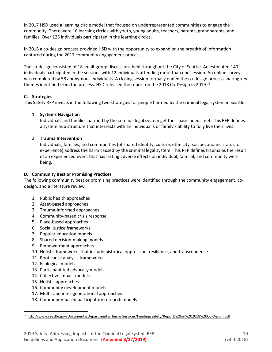In 2017 HSD used a learning circle model that focused on underrepresented communities to engage the community. There were 10 learning circles with youth, young adults, teachers, parents, grandparents, and families. Over 125 individuals participated in the learning circles.

In 2018 a co-design process provided HSD with the opportunity to expand on the breadth of information captured during the 2017 community engagement process.

The co-design consisted of 18 small-group discussions held throughout the City of Seattle. An estimated 140 individuals participated in the sessions with 12 individuals attending more than one session. An online survey was completed by 58 anonymous individuals. A closing session formally ended the co-design process sharing key themes identified from the process. HSD released the report on the 2018 Co-Design in 2019.<sup>15</sup>

#### **C. Strategies**

This Safety RFP invests in the following two strategies for people harmed by the criminal legal system in Seattle:

#### 1. **Systems Navigation**

Individuals and families harmed by the criminal legal system get their basic needs met. This RFP defines a system as a structure that intersects with an individual's or family's ability to fully live their lives.

#### 2. **Trauma Intervention**

Individuals, families, and communities (of shared identity, culture, ethnicity, socioeconomic status, or experience) address the harm caused by the criminal legal system. This RFP defines trauma as the result of an experienced event that has lasting adverse effects on individual, familial, and community wellbeing.

#### **D. Community Best or Promising Practices**

The following community best or promising practices were identified through the community engagement, codesign, and a literature review:

- 1. Public health approaches
- 2. Asset-based approaches
- 3. Trauma-informed approaches
- 4. Community-based crisis response
- 5. Place-based approaches
- 6. Social justice frameworks
- 7. Popular education models
- 8. Shared decision-making models
- 9. Empowerment approaches
- 10. Holistic frameworks that include historical oppression, resilience, and transcendence
- 11. Root cause analysis frameworks
- 12. Ecological models
- 13. Participant-led advocacy models
- 14. Collective impact models
- 15. Holistic approaches
- 16. Community development models
- 17. Multi- and inter-generational approaches
- 18. Community-based participatory research models

<sup>15</sup> <http://www.seattle.gov/Documents/Departments/HumanServices/Funding/safety/Report%20on%202018%20Co-Design.pdf>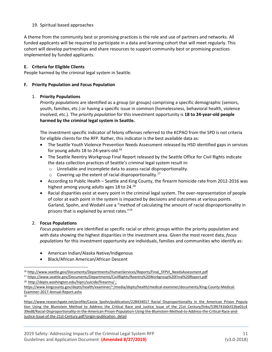#### 19. Spiritual based approaches

A theme from the community best or promising practices is the role and use of partners and networks. All funded applicants will be required to participate in a data and learning cohort that will meet regularly. This cohort will develop partnerships and share resources to support community best or promising practices implemented by funded applicants.

#### **E. Criteria for Eligible Clients**

People harmed by the criminal legal system in Seattle.

#### **F. Priority Population and Focus Population**

#### 1. **Priority Populations**

*Priority populations* are identified as a group (or groups) comprising a specific demographic (seniors, youth, families, etc.) or having a specific issue in common (homelessness, behavioral health, violence involved, etc.). The *priority population* for this investment opportunity is **18 to 24-year-old people harmed by the criminal legal system in Seattle.**

The investment specific indicator of felony offenses referred to the KCPAO from the SPD is not criteria for eligible clients for the RFP. Rather, this indicator is the best available data as:

- The Seattle Youth Violence Prevention Needs Assessment released by HSD identified gaps in services for young adults 18 to 24-years-old.<sup>16</sup>
- The Seattle Reentry Workgroup Final Report released by the Seattle Office for Civil Rights indicate the data collection practices of Seattle's criminal legal system result in:
	- o Unreliable and incomplete data to assess racial disproportionality.
	- $\circ$  Covering up the extent of racial disproportionality.<sup>17</sup>
- According to Public Health Seattle and King County, the firearm homicide rate from 2012-2016 was highest among young adults ages 18 to 24.<sup>18</sup>
- Racial disparities exist at every point in the criminal legal system. The over-representation of people of color at each point in the system is impacted by decisions and outcomes at various points. Garland, Spohn, and Wodahl use a "method of calculating the amount of racial disproportionality in prisons that is explained by arrest rates."<sup>19</sup>

#### 2. **Focus Populations**

19

*Focus populations* are identified as specific racial or ethnic groups within the priority population and with data showing the highest disparities in the investment area. Given the most recent data, *focus populations* for this investment opportunity are individuals, families and communities who identify as:

- American Indian/Alaska Native/Indigenous
- Black/African American/African Descent

<sup>17</sup> <https://www.seattle.gov/Documents/Departments/CivilRights/Reentry%20Workgroup%20Final%20Report.pdf>

<sup>18</sup> <http://depts.washington.edu/hiprc/suicide/firearms/> ;

[https://www.researchgate.net/profile/Cassia\\_Spohn/publication/228434017\\_Racial\\_Disproportionality\\_in\\_the\\_American\\_Prison\\_Popula](https://www.researchgate.net/profile/Cassia_Spohn/publication/228434017_Racial_Disproportionality_in_the_American_Prison_Population_Using_the_Blumstein_Method_to_Address_the_Critical_Race_and_Justice_Issue_of_the_21st_Century/links/53f6741b0cf22be01c439ed8/Racial-Disproportionality-in-the-American-Prison-Population-Using-the-Blumstein-Method-to-Address-the-Critical-Race-and-Justice-Issue-of-the-21st-Century.pdf?origin=publication_detail) [tion\\_Using\\_the\\_Blumstein\\_Method\\_to\\_Address\\_the\\_Critical\\_Race\\_and\\_Justice\\_Issue\\_of\\_the\\_21st\\_Century/links/53f6741b0cf22be01c4](https://www.researchgate.net/profile/Cassia_Spohn/publication/228434017_Racial_Disproportionality_in_the_American_Prison_Population_Using_the_Blumstein_Method_to_Address_the_Critical_Race_and_Justice_Issue_of_the_21st_Century/links/53f6741b0cf22be01c439ed8/Racial-Disproportionality-in-the-American-Prison-Population-Using-the-Blumstein-Method-to-Address-the-Critical-Race-and-Justice-Issue-of-the-21st-Century.pdf?origin=publication_detail) [39ed8/Racial-Disproportionality-in-the-American-Prison-Population-Using-the-Blumstein-Method-to-Address-the-Critical-Race-and-](https://www.researchgate.net/profile/Cassia_Spohn/publication/228434017_Racial_Disproportionality_in_the_American_Prison_Population_Using_the_Blumstein_Method_to_Address_the_Critical_Race_and_Justice_Issue_of_the_21st_Century/links/53f6741b0cf22be01c439ed8/Racial-Disproportionality-in-the-American-Prison-Population-Using-the-Blumstein-Method-to-Address-the-Critical-Race-and-Justice-Issue-of-the-21st-Century.pdf?origin=publication_detail)[Justice-Issue-of-the-21st-Century.pdf?origin=publication\\_detail](https://www.researchgate.net/profile/Cassia_Spohn/publication/228434017_Racial_Disproportionality_in_the_American_Prison_Population_Using_the_Blumstein_Method_to_Address_the_Critical_Race_and_Justice_Issue_of_the_21st_Century/links/53f6741b0cf22be01c439ed8/Racial-Disproportionality-in-the-American-Prison-Population-Using-the-Blumstein-Method-to-Address-the-Critical-Race-and-Justice-Issue-of-the-21st-Century.pdf?origin=publication_detail)

<sup>16</sup> [http://www.seattle.gov/Documents/Departments/HumanServices/Reports/Final\\_SYPVI\\_NeedsAssessment.pdf](http://www.seattle.gov/Documents/Departments/HumanServices/Reports/Final_SYPVI_NeedsAssessment.pdf)

[https://www.kingcounty.gov/depts/health/examiner/~/media/depts/health/medical-examiner/documents/King-County-Medical-](https://www.kingcounty.gov/depts/health/examiner/~/media/depts/health/medical-examiner/documents/King-County-Medical-Examiner-2017-Annual-Report.ashx)[Examiner-2017-Annual-Report.ashx](https://www.kingcounty.gov/depts/health/examiner/~/media/depts/health/medical-examiner/documents/King-County-Medical-Examiner-2017-Annual-Report.ashx)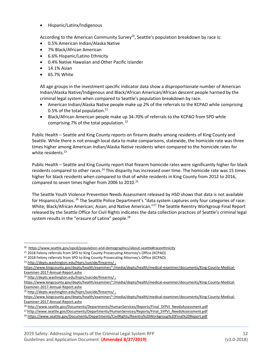• Hispanic/Latinx/Indigenous

According to the American Community Survey<sup>20</sup>, Seattle's population breakdown by race is:

- 0.5% American Indian/Alaska Native
- 7% Black/African American
- 6.6% Hispanic/Latino Ethnicity
- 0.4% Native Hawaiian and Other Pacific Islander
- 14.1% Asian
- 65.7% White

All age groups in the investment specific indicator data show a disproportionate number of American Indian/Alaska Native/Indigenous and Black/African American/African descent people harmed by the criminal legal system when compared to Seattle's population breakdown by race.

- American Indian/Alaska Native people make up 2% of the referrals to the KCPAO while comprising 0.5% of the total population. $21$
- Black/African American people make up 34-70% of referrals to the KCPAO from SPD while comprising 7% of the total population.  $22$

Public Health – Seattle and King County reports on firearm deaths among residents of King County and Seattle. While there is not enough local data to make comparisons, statewide, the homicide rate was three times higher among American Indian/Alaska Native residents when compared to the homicide rates for white residents.<sup>23</sup>

Public Health – Seattle and King County report that firearm homicide rates were significantly higher for black residents compared to other races.<sup>24</sup> This disparity has increased over time. The homicide rate was 15 times higher for black residents when compared to that of white residents in King County from 2012 to 2016, compared to seven times higher from 2006 to 2010.<sup>25</sup>

The Seattle Youth Violence Prevention Needs Assessment released by HSD shows that data is not available for Hispanics/Latinos. <sup>26</sup> The Seattle Police Department's "data system captures only four categories of race: White; Black/African American; Asian; and Native American."<sup>27</sup> The Seattle Reentry Workgroup Final Report released by the Seattle Office for Civil Rights indicates the data collection practices of Seattle's criminal legal system results in the "erasure of Latinx" people.<sup>28</sup>

<sup>&</sup>lt;sup>20</sup><https://www.seattle.gov/opcd/population-and-demographics/about-seattle#raceethnicity>

<sup>&</sup>lt;sup>21</sup> 2018 Felony referrals from SPD to King County Prosecuting Attorney's Office (KCPAO)

<sup>22</sup> 2018 Felony referrals from SPD to King County Prosecuting Attorney's Office (KCPAO)

<sup>23</sup> <http://depts.washington.edu/hiprc/suicide/firearms/> ;

[https://www.kingcounty.gov/depts/health/examiner/~/media/depts/health/medical-examiner/documents/King-County-Medical-](https://www.kingcounty.gov/depts/health/examiner/~/media/depts/health/medical-examiner/documents/King-County-Medical-Examiner-2017-Annual-Report.ashx)[Examiner-2017-Annual-Report.ashx](https://www.kingcounty.gov/depts/health/examiner/~/media/depts/health/medical-examiner/documents/King-County-Medical-Examiner-2017-Annual-Report.ashx)

<sup>&</sup>lt;sup>24</sup> <http://depts.washington.edu/hiprc/suicide/firearms/>;

[https://www.kingcounty.gov/depts/health/examiner/~/media/depts/health/medical-examiner/documents/King-County-Medical-](https://www.kingcounty.gov/depts/health/examiner/~/media/depts/health/medical-examiner/documents/King-County-Medical-Examiner-2017-Annual-Report.ashx)[Examiner-2017-Annual-Report.ashx](https://www.kingcounty.gov/depts/health/examiner/~/media/depts/health/medical-examiner/documents/King-County-Medical-Examiner-2017-Annual-Report.ashx)

<sup>25</sup> <http://depts.washington.edu/hiprc/suicide/firearms/> ;

[https://www.kingcounty.gov/depts/health/examiner/~/media/depts/health/medical-examiner/documents/King-County-Medical-](https://www.kingcounty.gov/depts/health/examiner/~/media/depts/health/medical-examiner/documents/King-County-Medical-Examiner-2017-Annual-Report.ashx)[Examiner-2017-Annual-Report.ashx](https://www.kingcounty.gov/depts/health/examiner/~/media/depts/health/medical-examiner/documents/King-County-Medical-Examiner-2017-Annual-Report.ashx)

<sup>26</sup> [http://www.seattle.gov/Documents/Departments/HumanServices/Reports/Final\\_SYPVI\\_NeedsAssessment.pdf](http://www.seattle.gov/Documents/Departments/HumanServices/Reports/Final_SYPVI_NeedsAssessment.pdf)

<sup>&</sup>lt;sup>27</sup> [http://www.seattle.gov/Documents/Departments/HumanServices/Reports/Final\\_SYPVI\\_NeedsAssessment.pdf](http://www.seattle.gov/Documents/Departments/HumanServices/Reports/Final_SYPVI_NeedsAssessment.pdf)

<sup>28</sup> <https://www.seattle.gov/Documents/Departments/CivilRights/Reentry%20Workgroup%20Final%20Report.pdf>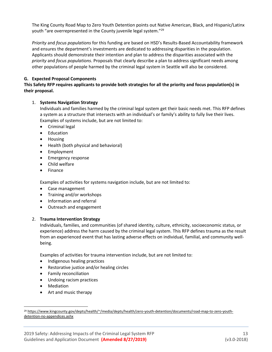The King County Road Map to Zero Youth Detention points out Native American, Black, and Hispanic/Latinx youth "are overrepresented in the County juvenile legal system."<sup>29</sup>

*Priority* and *focus populations* for this funding are based on HSD's Results-Based Accountability framework and ensures the department's investments are dedicated to addressing disparities in the population. Applicants should demonstrate their intention and plan to address the disparities associated with the *priority* and *focus populations*. Proposals that clearly describe a plan to address significant needs among other populations of people harmed by the criminal legal system in Seattle will also be considered.

#### **G. Expected Proposal Components**

#### **This Safety RFP requires applicants to provide both strategies for all the priority and focus population(s) in their proposal.**

#### 1. **Systems Navigation Strategy**

Individuals and families harmed by the criminal legal system get their basic needs met. This RFP defines a system as a structure that intersects with an individual's or family's ability to fully live their lives. Examples of systems include, but are not limited to:

- Criminal legal
- Education
- Housing
- Health (both physical and behavioral)
- Employment
- Emergency response
- Child welfare
- Finance

Examples of activities for systems navigation include, but are not limited to:

- Case management
- Training and/or workshops
- Information and referral
- Outreach and engagement

#### 2. **Trauma Intervention Strategy**

Individuals, families, and communities (of shared identity, culture, ethnicity, socioeconomic status, or experience) address the harm caused by the criminal legal system. This RFP defines trauma as the result from an experienced event that has lasting adverse effects on individual, familial, and community wellbeing.

Examples of activities for trauma intervention include, but are not limited to:

- Indigenous healing practices
- Restorative justice and/or healing circles
- Family reconciliation
- Undoing racism practices
- Mediation
- Art and music therapy

<sup>&</sup>lt;sup>29</sup> [https://www.kingcounty.gov/depts/health/~/media/depts/health/zero-youth-detention/documents/road-map-to-zero-youth](https://www.kingcounty.gov/depts/health/~/media/depts/health/zero-youth-detention/documents/road-map-to-zero-youth-detention-no-appendices.ashx)[detention-no-appendices.ashx](https://www.kingcounty.gov/depts/health/~/media/depts/health/zero-youth-detention/documents/road-map-to-zero-youth-detention-no-appendices.ashx)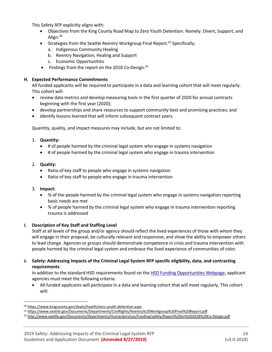This Safety RFP explicitly aligns with:

- Objectives from the King County Road Map to Zero Youth Detention. Namely: Divert, Support, and Align. $30$
- Strategies from the Seattle Reentry Workgroup Final Report.<sup>31</sup> Specifically:
	- a. Indigenous Community Healing
	- b. Reentry Navigation, Healing and Support
	- c. Economic Opportunities
- Findings from the report on the 2018 Co-Design.<sup>32</sup>

#### **H. Expected Performance Commitments**

All funded applicants will be required to participate in a data and learning cohort that will meet regularly. This cohort will:

- review data metrics and develop measuring tools in the first quarter of 2020 for annual contracts beginning with the first year (2020);
- develop partnerships and share resources to support community best and promising practices; and
- identify lessons learned that will inform subsequent contract years.

Quantity, quality, and impact measures may include, but are not limited to:

- 1. **Quantity:**
	- # of people harmed by the criminal legal system who engage in systems navigation
	- # of people harmed by the criminal legal system who engage in trauma intervention
- 2. **Quality:**
	- Ratio of key staff to people who engage in systems navigation
	- Ratio of key staff to people who engage in trauma intervention
- 3. **Impact:**
	- % of the people harmed by the criminal legal system who engage in systems navigation reporting basic needs are met
	- % of people harmed by the criminal legal system who engage in trauma intervention reporting trauma is addressed

#### **I. Description of Key Staff and Staffing Level**

Staff at all levels of the group and/or agency should reflect the lived experiences of those with whom they will engage in their proposal, be culturally relevant and responsive, and show the ability to empower others to lead change. Agencies or groups should demonstrate competence in crisis and trauma intervention with people harmed by the criminal legal system and embrace the lived experience of communities of color.

#### **J. Safety: Addressing Impacts of the Criminal Legal System RFP specific eligibility, data, and contracting requirements**

In addition to the standard HSD requirements found on the [HSD Funding Opportunities Webpage,](http://www.seattle.gov/humanservices/funding-and-reports/funding-opportunities) applicant agencies must meet the following criteria:

• All funded applicants will participate in a data and learning cohort that will meet regularly. This cohort will:

<sup>30</sup> <https://www.kingcounty.gov/depts/health/zero-youth-detention.aspx>

<sup>31</sup> <https://www.seattle.gov/Documents/Departments/CivilRights/Reentry%20Workgroup%20Final%20Report.pdf>

<sup>32</sup> <http://www.seattle.gov/Documents/Departments/HumanServices/Funding/safety/Report%20on%202018%20Co-Design.pdf>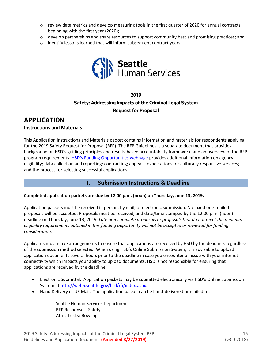- $\circ$  review data metrics and develop measuring tools in the first quarter of 2020 for annual contracts beginning with the first year (2020);
- $\circ$  develop partnerships and share resources to support community best and promising practices; and
- o identify lessons learned that will inform subsequent contract years.



## **2019 Safety: Addressing Impacts of the Criminal Legal System Request for Proposal**

## **APPLICATION**

#### **Instructions and Materials**

This Application Instructions and Materials packet contains information and materials for respondents applying for the 2019 Safety Request for Proposal (RFP). The RFP Guidelines is a separate document that provides background on HSD's guiding principles and results-based accountability framework, and an overview of the RFP program requirements. [HSD's Funding Opportunities webpage](http://www.seattle.gov/humanservices/funding-and-reports/funding-opportunities) provides additional information on agency eligibility; data collection and reporting; contracting; appeals; expectations for culturally responsive services; and the process for selecting successful applications.

#### **I. Submission Instructions & Deadline**

#### **Completed application packets are due by 12:00 p.m. (noon) on Thursday, June 13, 2019.**

Application packets must be received in person, by mail, or electronic submission. No faxed or e-mailed proposals will be accepted. Proposals must be received, and date/time stamped by the 12:00 p.m. (noon) deadline on Thursday, June 13, 2019. *Late or incomplete proposals or proposals that do not meet the minimum eligibility requirements outlined in this funding opportunity will not be accepted or reviewed for funding consideration.*

Applicants must make arrangements to ensure that applications are received by HSD by the deadline, regardless of the submission method selected. When using HSD's Online Submission System, it is advisable to upload application documents several hours prior to the deadline in case you encounter an issue with your internet connectivity which impacts your ability to upload documents. HSD is not responsible for ensuring that applications are received by the deadline.

- Electronic Submittal: Application packets may be submitted electronically via HSD's Online Submission System at [http://web6.seattle.gov/hsd/rfi/index.aspx.](http://web6.seattle.gov/hsd/rfi/index.aspx)
- Hand Delivery or US Mail: The application packet can be hand-delivered or mailed to:

Seattle Human Services Department RFP Response – Safety Attn: Leslea Bowling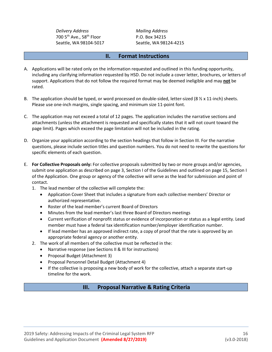*Delivery Address Mailing Address* 700 5<sup>th</sup> Ave., 58<sup>th</sup> Floor P.O. Box 34215

Seattle, WA 98104-5017 Seattle, WA 98124-4215

#### **II. Format Instructions**

- A. Applications will be rated only on the information requested and outlined in this funding opportunity, including any clarifying information requested by HSD. Do not include a cover letter, brochures, or letters of support. Applications that do not follow the required format may be deemed ineligible and may **not** be rated.
- B. The application should be typed, or word processed on double-sided, letter-sized (8 % x 11-inch) sheets. Please use one-inch margins, single spacing, and minimum size 11-point font.
- C. The application may not exceed a total of 12 pages. The application includes the narrative sections and attachments (unless the attachment is requested and specifically states that it will not count toward the page limit). Pages which exceed the page limitation will not be included in the rating.
- D. Organize your application according to the section headings that follow in Section III. For the narrative questions, please include section titles and question numbers. You do not need to rewrite the questions for specific elements of each question.
- E. **For Collective Proposals only:** For collective proposals submitted by two or more groups and/or agencies, submit one application as described on page 3, Section I of the Guidelines and outlined on page 15, Section I of the Application. One group or agency of the collective will serve as the lead for submission and point of contact.
	- 1. The lead member of the collective will complete the:
		- Application Cover Sheet that includes a signature from each collective members' Director or authorized representative.
		- Roster of the lead member's current Board of Directors
		- Minutes from the lead member's last three Board of Directors meetings
		- Current verification of nonprofit status or evidence of incorporation or status as a legal entity. Lead member must have a federal tax identification number/employer identification number.
		- If lead member has an approved indirect rate, a copy of proof that the rate is approved by an appropriate federal agency or another entity.
	- 2. The work of all members of the collective must be reflected in the:
		- Narrative response (see Sections II & III for instructions)
		- Proposal Budget (Attachment 3)
		- Proposal Personnel Detail Budget (Attachment 4)
		- If the collective is proposing a new body of work for the collective, attach a separate start-up timeline for the work.

## **III. Proposal Narrative & Rating Criteria**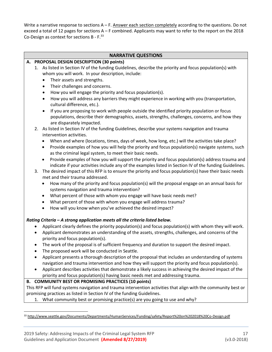Write a narrative response to sections  $A - F$ . Answer each section completely according to the questions. Do not exceed a total of 12 pages for sections A – F combined. Applicants may want to refer to the report on the 2018 Co-Design as context for sections B - F.<sup>33</sup>

#### **NARRATIVE QUESTIONS**

#### **A. PROPOSAL DESIGN DESCRIPTION (30 points)**

- 1. As listed in Section IV of the funding Guidelines, describe the priority and focus population(s) with whom you will work. In your description, include:
	- Their assets and strengths.
	- Their challenges and concerns.
	- How you will engage the priority and focus population(s).
	- How you will address any barriers they might experience in working with you (transportation, cultural difference, etc.).
	- If you are proposing to work with people outside the identified priority population or focus populations, describe their demographics, assets, strengths, challenges, concerns, and how they are disparately impacted.
- 2. As listed in Section IV of the funding Guidelines, describe your systems navigation and trauma intervention activities.
	- When and where (locations, times, days of week, how long, etc.) will the activities take place?
	- Provide examples of how you will help the priority and focus population(s) navigate systems, such as the criminal legal system, to meet their basic needs.
	- Provide examples of how you will support the priority and focus population(s) address trauma and indicate if your activities include any of the examples listed in Section IV of the funding Guidelines.
- 3. The desired impact of this RFP is to ensure the priority and focus population(s) have their basic needs met and their trauma addressed.
	- How many of the priority and focus population(s) will the proposal engage on an annual basis for systems navigation and trauma intervention?
	- What percent of those with whom you engage will have basic needs met?
	- What percent of those with whom you engage will address trauma?
	- How will you know when you've achieved the desired impact?

#### *Rating Criteria – A strong application meets all the criteria listed below.*

- Applicant clearly defines the priority population(s) and focus population(s) with whom they will work.
- Applicant demonstrates an understanding of the assets, strengths, challenges, and concerns of the priority and focus population(s).
- The work of the proposal is of sufficient frequency and duration to support the desired impact.
- The proposed work will be conducted in Seattle.
- Applicant presents a thorough description of the proposal that includes an understanding of systems navigation and trauma intervention and how they will support the priority and focus population(s).
- Applicant describes activities that demonstrate a likely success in achieving the desired impact of the priority and focus population(s) having basic needs met and addressing trauma.

#### **B. COMMUNITY BEST OR PROMISING PRACTICES (10 points)**

This RFP will fund systems navigation and trauma intervention activities that align with the community best or promising practices as listed in Section IV of the funding Guidelines.

1. What community best or promising practice(s) are you going to use and why?

<sup>33</sup> <http://www.seattle.gov/Documents/Departments/HumanServices/Funding/safety/Report%20on%202018%20Co-Design.pdf>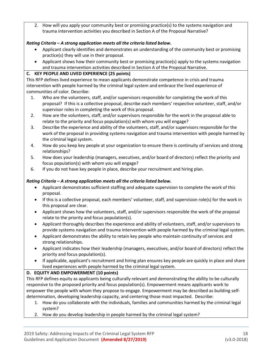2. How will you apply your community best or promising practice(s) to the systems navigation and trauma intervention activities you described in Section A of the Proposal Narrative?

#### *Rating Criteria – A strong application meets all the criteria listed below.*

- Applicant clearly identifies and demonstrates an understanding of the community best or promising practice(s) they will use in their proposal.
- Applicant shows how their community best or promising practice(s) apply to the systems navigation and trauma intervention activities described in Section A of the Proposal Narrative.

#### **C. KEY PEOPLE AND LIVED EXPERIENCE (25 points)**

This RFP defines lived experience to mean applicants demonstrate competence in crisis and trauma intervention with people harmed by the criminal legal system and embrace the lived experience of communities of color. Describe:

- 1. Who are the volunteers, staff, and/or supervisors responsible for completing the work of this proposal? If this is a collective proposal, describe each members' respective volunteer, staff, and/or supervisor roles in completing the work of this proposal.
- 2. How are the volunteers, staff, and/or supervisors responsible for the work in the proposal able to relate to the priority and focus population(s) with whom you will engage?
- 3. Describe the experience and ability of the volunteers, staff, and/or supervisors responsible for the work of the proposal in providing systems navigation and trauma intervention with people harmed by the criminal legal system.
- 4. How do you keep key people at your organization to ensure there is continuity of services and strong relationships?
- 5. How does your leadership (managers, executives, and/or board of directors) reflect the priority and focus population(s) with whom you will engage?
- 6. If you do not have key people in place, describe your recruitment and hiring plan.

## *Rating Criteria – A strong application meets all the criteria listed below.*

- Applicant demonstrates sufficient staffing and adequate supervision to complete the work of this proposal.
- If this is a collective proposal, each members' volunteer, staff, and supervision role(s) for the work in this proposal are clear.
- Applicant shows how the volunteers, staff, and/or supervisors responsible the work of the proposal relate to the priority and focus population(s).
- Applicant thoroughly describes the experience and ability of volunteers, staff, and/or supervisors to provide systems navigation and trauma intervention with people harmed by the criminal legal system.
- Applicant demonstrates the ability to retain key people who maintain continuity of services and strong relationships.
- Applicant indicates how their leadership (managers, executives, and/or board of directors) reflect the priority and focus population(s).
- If applicable, applicant's recruitment and hiring plan ensures key people are quickly in place and share lived experiences with people harmed by the criminal legal system.

## **D. EQUITY AND EMPOWERMENT (10 points)**

This RFP defines equity as applicants being culturally relevant and demonstrating the ability to be culturally responsive to the proposed priority and focus population(s). Empowerment means applicants work to empower the people with whom they propose to engage. Empowerment may be described as building selfdetermination, developing leadership capacity, and centering those most impacted. Describe:

- 1. How do you collaborate with the individuals, families and communities harmed by the criminal legal system?
- 2. How do you develop leadership in people harmed by the criminal legal system?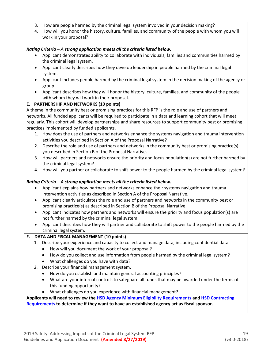- 3. How are people harmed by the criminal legal system involved in your decision making?
- 4. How will you honor the history, culture, families, and community of the people with whom you will work in your proposal?

#### *Rating Criteria – A strong application meets all the criteria listed below.*

- Applicant demonstrates ability to collaborate with individuals, families and communities harmed by the criminal legal system.
- Applicant clearly describes how they develop leadership in people harmed by the criminal legal system.
- Applicant includes people harmed by the criminal legal system in the decision making of the agency or group.
- Applicant describes how they will honor the history, culture, families, and community of the people with whom they will work in their proposal.

#### **E. PARTNERSHIP AND NETWORKS (10 points)**

A theme in the community best or promising practices for this RFP is the role and use of partners and networks. All funded applicants will be required to participate in a data and learning cohort that will meet regularly. This cohort will develop partnerships and share resources to support community best or promising practices implemented by funded applicants.

- 1. How does the use of partners and networks enhance the systems navigation and trauma intervention activities you described in Section A of the Proposal Narrative?
- 2. Describe the role and use of partners and networks in the community best or promising practice(s) you described in Section B of the Proposal Narrative.
- 3. How will partners and networks ensure the priority and focus population(s) are not further harmed by the criminal legal system?
- 4. How will you partner or collaborate to shift power to the people harmed by the criminal legal system?

#### *Rating Criteria – A strong application meets all the criteria listed below.*

- Applicant explains how partners and networks enhance their systems navigation and trauma intervention activities as described in Section A of the Proposal Narrative.
- Applicant clearly articulates the role and use of partners and networks in the community best or promising practice(s) as described in Section B of the Proposal Narrative.
- Applicant indicates how partners and networks will ensure the priority and focus population(s) are not further harmed by the criminal legal system.
- Applicant describes how they will partner and collaborate to shift power to the people harmed by the criminal legal system.

#### **F. DATA AND FISCAL MANAGEMENT (10 points)**

- 1. Describe your experience and capacity to collect and manage data, including confidential data.
	- How will you document the work of your proposal?
	- How do you collect and use information from people harmed by the criminal legal system?
	- What challenges do you have with data?
- 2. Describe your financial management system.
	- How do you establish and maintain general accounting principles?
	- What are your internal controls to safeguard all funds that may be awarded under the terms of this funding opportunity?
	- What challenges do you experience with financial management?

#### **Applicants will need to review the [HSD Agency Minimum Eligibility Requirements](http://www.seattle.gov/Documents/Departments/HumanServices/Funding/NOFA/HSD%20Agency%20Minimum%20Eligibility%20Requirements.pdfhttp:/www.seattle.gov/Documents/Departments/HumanServices/Funding/NOFA/HSD%20Agency%20Minimum%20Eligibility%20Requirements.pdf) and [HSD Contracting](http://www.seattle.gov/Documents/Departments/HumanServices/Funding/NOFA/HSD%20Contracting%20Requirements.pdf)  [Requirements](http://www.seattle.gov/Documents/Departments/HumanServices/Funding/NOFA/HSD%20Contracting%20Requirements.pdf) to determine if they want to have an established agency act as fiscal sponsor.**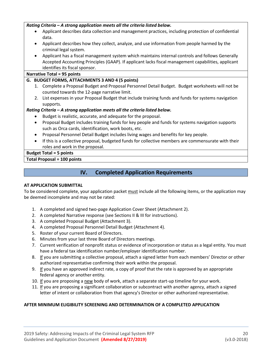#### *Rating Criteria – A strong application meets all the criteria listed below.*

- Applicant describes data collection and management practices, including protection of confidential data.
- Applicant describes how they collect, analyze, and use information from people harmed by the criminal legal system.
- Applicant has a fiscal management system which maintains internal controls and follows Generally Accepted Accounting Principles (GAAP). If applicant lacks fiscal management capabilities, applicant identifies its fiscal sponsor.

#### **Narrative Total = 95 points**

#### **G. BUDGET FORMS, ATTACHMENTS 3 AND 4 (5 points)**

- 1. Complete a Proposal Budget and Proposal Personnel Detail Budget. Budget worksheets will not be counted towards the 12-page narrative limit.
- 2. List expenses in your Proposal Budget that include training funds and funds for systems navigation supports.

#### *Rating Criteria – A strong application meets all the criteria listed below.*

- Budget is realistic, accurate, and adequate for the proposal.
- Proposal Budget includes training funds for key people and funds for systems navigation supports such as Orca cards, identification, work boots, etc.
- Proposal Personnel Detail Budget includes living wages and benefits for key people.
- If this is a collective proposal, budgeted funds for collective members are commensurate with their roles and work in the proposal.

#### **Budget Total = 5 points**

#### **Total Proposal = 100 points**

## **IV. Completed Application Requirements**

#### **AT APPLICATION SUBMITTAL**

To be considered complete, your application packet must include all the following items, or the application may be deemed incomplete and may not be rated:

- 1. A completed and signed two-page Application Cover Sheet (Attachment 2).
- 2. A completed Narrative response (see Sections II & III for instructions).
- 3. A completed Proposal Budget (Attachment 3).
- 4. A completed Proposal Personnel Detail Budget (Attachment 4).
- 5. Roster of your current Board of Directors.
- 6. Minutes from your last three Board of Directors meetings.
- 7. Current verification of nonprofit status or evidence of incorporation or status as a legal entity. You must have a federal tax identification number/employer identification number.
- 8. If you are submitting a collective proposal, attach a signed letter from each members' Director or other authorized representative confirming their work within the proposal.
- 9. If you have an approved indirect rate, a copy of proof that the rate is approved by an appropriate federal agency or another entity.
- 10. If you are proposing a new body of work, attach a separate start-up timeline for your work.
- 11. If you are proposing a significant collaboration or subcontract with another agency, attach a signed letter of intent or collaboration from that agency's Director or other authorized representative.

#### **AFTER MINIMUM ELIGIBILITY SCREENING AND DETERMINATION OF A COMPLETED APPLICATION**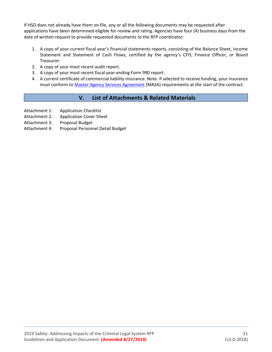If HSD does not already have them on file, any or all the following documents may be requested after applications have been determined eligible for review and rating. Agencies have four (4) business days from the date of written request to provide requested documents to the RFP coordinator:

- 1. A copy of your current fiscal year's financial statements reports, consisting of the Balance Sheet, Income Statement and Statement of Cash Flows, certified by the agency's CFO, Finance Officer, or Board Treasurer.
- 2. A copy of your most recent audit report.
- 3. A copy of your most recent fiscal year-ending Form 990 report.
- 4. A current certificate of commercial liability insurance. Note: if selected to receive funding, your insurance must conform t[o Master Agency Services Agreement](http://www.seattle.gov/Documents/Departments/HumanServices/Funding/NOFA/HSD_Master_Agency_Services_Agreement_Sample.pdf) (MASA) requirements at the start of the contract.

## **V. List of Attachments & Related Materials**

- Attachment 1: Application Checklist
- Attachment 2: Application Cover Sheet
- Attachment 3: Proposal Budget
- Attachment 4: Proposal Personnel Detail Budget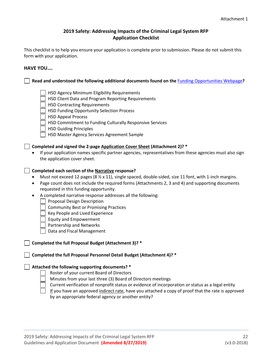#### **2019 Safety: Addressing Impacts of the Criminal Legal System RFP Application Checklist**

This checklist is to help you ensure your application is complete prior to submission. Please do not submit this form with your application.

#### **HAVE YOU….**

**Read and understood the following additional documents found on the** [Funding Opportunities Webpage](http://www.seattle.gov/humanservices/funding-and-reports/funding-opportunities)**?**

- HSD Agency Minimum Eligibility Requirements
- HSD Client Data and Program Reporting Requirements
- HSD Contracting Requirements
- HSD Funding Opportunity Selection Process
- | HSD Appeal Process
- HSD Commitment to Funding Culturally Responsive Services
- | HSD Guiding Principles
- | | HSD Master Agency Services Agreement Sample

#### **Completed and signed the 2-page Application Cover Sheet (Attachment 2)? \***

• If your application names specific partner agencies, representatives from these agencies must also sign the application cover sheet.

#### **Completed each section of the Narrative response?**

- Must not exceed 12 pages (8  $\frac{1}{2}$  x 11), single spaced, double-sided, size 11 font, with 1-inch margins.
- Page count does not include the required forms (Attachments 2, 3 and 4) and supporting documents requested in this funding opportunity.
- A completed narrative response addresses all the following:
	- | Proposal Design Description
	- Community Best or Promising Practices
	- Key People and Lived Experience
	- Equity and Empowerment
	- Partnership and Networks
	- Data and Fiscal Management

#### **Completed the full Proposal Budget (Attachment 3)? \***

**Completed the full Proposal Personnel Detail Budget (Attachment 4)? \***

#### **Attached the following supporting documents? \***

- Roster of your current Board of Directors
- Minutes from your last three (3) Board of Directors meetings
- Current verification of nonprofit status or evidence of incorporation or status as a legal entity
- If you have an approved indirect rate, have you attached a copy of proof that the rate is approved by an appropriate federal agency or another entity?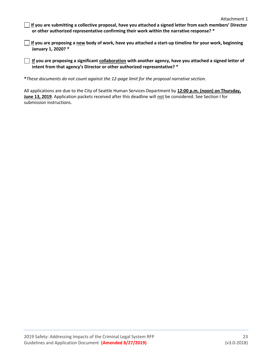- **If you are submitting a collective proposal, have you attached a signed letter from each members' Director or other authorized representative confirming their work within the narrative response? \***
- **If you are proposing a new body of work, have you attached a start-up timeline for your work, beginning January 1, 2020? \***

**If you are proposing a significant collaboration with another agency, have you attached a signed letter of intent from that agency's Director or other authorized representative? \***

**\****These documents do not count against the 12-page limit for the proposal narrative section.*

All applications are due to the City of Seattle Human Services Department by **12:00 p.m. (noon) on Thursday, June 13, 2019**. Application packets received after this deadline will not be considered. See Section I for submission instructions.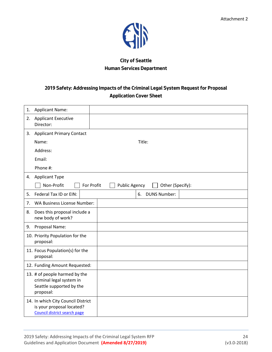

## **City of Seattle Human Services Department**

## **2019 Safety: Addressing Impacts of the Criminal Legal System Request for Proposal Application Cover Sheet**

| 1. | <b>Applicant Name:</b>                                                                             |                                          |  |
|----|----------------------------------------------------------------------------------------------------|------------------------------------------|--|
| 2. | <b>Applicant Executive</b><br>Director:                                                            |                                          |  |
| 3. | <b>Applicant Primary Contact</b>                                                                   |                                          |  |
|    | Name:                                                                                              | Title:                                   |  |
|    | Address:                                                                                           |                                          |  |
|    | Email:                                                                                             |                                          |  |
|    | Phone #:                                                                                           |                                          |  |
| 4. | <b>Applicant Type</b>                                                                              |                                          |  |
|    | Non-Profit<br>For Profit                                                                           | <b>Public Agency</b><br>Other (Specify): |  |
| 5. | Federal Tax ID or EIN:                                                                             | <b>DUNS Number:</b><br>6.                |  |
| 7. | <b>WA Business License Number:</b>                                                                 |                                          |  |
| 8. | Does this proposal include a<br>new body of work?                                                  |                                          |  |
| 9. | Proposal Name:                                                                                     |                                          |  |
|    | 10. Priority Population for the<br>proposal:                                                       |                                          |  |
|    | 11. Focus Population(s) for the<br>proposal:                                                       |                                          |  |
|    | 12. Funding Amount Requested:                                                                      |                                          |  |
|    | 13. # of people harmed by the<br>criminal legal system in<br>Seattle supported by the<br>proposal: |                                          |  |
|    | 14. In which City Council District<br>is your proposal located?<br>Council district search page    |                                          |  |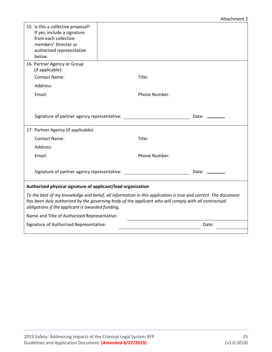#### Attachment 2

| 15. Is this a collective proposal?<br>If yes, include a signature<br>from each collective<br>members' Director or<br>authorized representative<br>below.                                                                                                                  |  |               |              |
|---------------------------------------------------------------------------------------------------------------------------------------------------------------------------------------------------------------------------------------------------------------------------|--|---------------|--------------|
| 16. Partner Agency or Group<br>(if applicable):                                                                                                                                                                                                                           |  |               |              |
| <b>Contact Name:</b>                                                                                                                                                                                                                                                      |  | Title:        |              |
| Address:                                                                                                                                                                                                                                                                  |  |               |              |
| Email:                                                                                                                                                                                                                                                                    |  | Phone Number: |              |
|                                                                                                                                                                                                                                                                           |  |               |              |
|                                                                                                                                                                                                                                                                           |  |               |              |
| Signature of partner agency representative:                                                                                                                                                                                                                               |  |               | Date: $\_\_$ |
| 17. Partner Agency (if applicable):                                                                                                                                                                                                                                       |  |               |              |
| <b>Contact Name:</b>                                                                                                                                                                                                                                                      |  | Title:        |              |
| Address:                                                                                                                                                                                                                                                                  |  |               |              |
| Email:                                                                                                                                                                                                                                                                    |  | Phone Number: |              |
|                                                                                                                                                                                                                                                                           |  |               |              |
|                                                                                                                                                                                                                                                                           |  |               | Date: $\_\_$ |
| Authorized physical signature of applicant/lead organization                                                                                                                                                                                                              |  |               |              |
| To the best of my knowledge and belief, all information in this application is true and correct. The document<br>has been duly authorized by the governing body of the applicant who will comply with all contractual<br>obligations if the applicant is awarded funding. |  |               |              |
| Name and Title of Authorized Representative:                                                                                                                                                                                                                              |  |               |              |
| Signature of Authorized Representative:                                                                                                                                                                                                                                   |  |               | Date:        |
|                                                                                                                                                                                                                                                                           |  |               |              |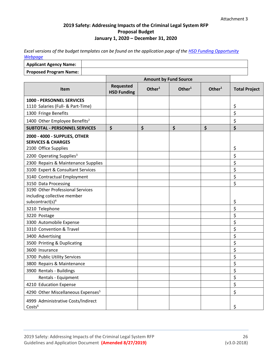### **2019 Safety: Addressing Impacts of the Criminal Legal System RFP Proposal Budget January 1, 2020 – December 31, 2020**

*Excel versions of the budget templates can be found on the application page of the [HSD Funding Opportunity](http://www.seattle.gov/humanservices/funding-and-reports/funding-opportunities)  [Webpage](http://www.seattle.gov/humanservices/funding-and-reports/funding-opportunities)*

| <b>Applicant Agency Name:</b> |  |
|-------------------------------|--|
| <b>Proposed Program Name:</b> |  |
|                               |  |

|                                                                                                | <b>Amount by Fund Source</b>    |                    |                    |                    |                      |
|------------------------------------------------------------------------------------------------|---------------------------------|--------------------|--------------------|--------------------|----------------------|
| <b>Item</b>                                                                                    | Requested<br><b>HSD Funding</b> | Other <sup>1</sup> | Other <sup>1</sup> | Other <sup>1</sup> | <b>Total Project</b> |
| 1000 - PERSONNEL SERVICES                                                                      |                                 |                    |                    |                    |                      |
| 1110 Salaries (Full- & Part-Time)                                                              |                                 |                    |                    |                    | \$                   |
| 1300 Fringe Benefits                                                                           |                                 |                    |                    |                    | \$                   |
| 1400 Other Employee Benefits <sup>2</sup>                                                      |                                 |                    |                    |                    | \$                   |
| <b>SUBTOTAL - PERSONNEL SERVICES</b>                                                           | \$                              | \$                 | \$                 | \$                 | \$                   |
| 2000 - 4000 - SUPPLIES, OTHER<br><b>SERVICES &amp; CHARGES</b><br>2100 Office Supplies         |                                 |                    |                    |                    | \$                   |
| 2200 Operating Supplies <sup>3</sup>                                                           |                                 |                    |                    |                    | \$                   |
| 2300 Repairs & Maintenance Supplies                                                            |                                 |                    |                    |                    | \$                   |
| 3100 Expert & Consultant Services                                                              |                                 |                    |                    |                    | \$                   |
| 3140 Contractual Employment                                                                    |                                 |                    |                    |                    | \$                   |
| 3150 Data Processing                                                                           |                                 |                    |                    |                    | \$                   |
| 3190 Other Professional Services<br>including collective member<br>subcontract(s) <sup>4</sup> |                                 |                    |                    |                    | \$                   |
| 3210 Telephone                                                                                 |                                 |                    |                    |                    | \$                   |
| 3220 Postage                                                                                   |                                 |                    |                    |                    | \$                   |
| 3300 Automobile Expense                                                                        |                                 |                    |                    |                    | \$                   |
| 3310 Convention & Travel                                                                       |                                 |                    |                    |                    | \$                   |
| 3400 Advertising                                                                               |                                 |                    |                    |                    | \$                   |
| 3500 Printing & Duplicating                                                                    |                                 |                    |                    |                    | \$                   |
| 3600 Insurance                                                                                 |                                 |                    |                    |                    | \$                   |
| 3700 Public Utility Services                                                                   |                                 |                    |                    |                    | \$                   |
| 3800 Repairs & Maintenance                                                                     |                                 |                    |                    |                    | \$                   |
| 3900 Rentals - Buildings                                                                       |                                 |                    |                    |                    | \$                   |
| Rentals - Equipment                                                                            |                                 |                    |                    |                    | \$                   |
| 4210 Education Expense                                                                         |                                 |                    |                    |                    | \$                   |
| 4290 Other Miscellaneous Expenses <sup>5</sup>                                                 |                                 |                    |                    |                    | \$                   |
| 4999 Administrative Costs/Indirect<br>Costs <sup>6</sup>                                       |                                 |                    |                    |                    | \$                   |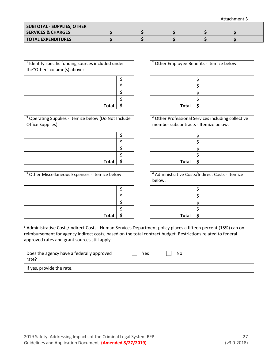Attachment 3

| SUBTOTAL - SUPPLIES, OTHER    |  |  |  |
|-------------------------------|--|--|--|
| <b>SERVICES &amp; CHARGES</b> |  |  |  |
| <b>TOTAL EXPENDITURES</b>     |  |  |  |

| <sup>1</sup> Identify specific funding sources included under<br>the"Other" column(s) above: |  |
|----------------------------------------------------------------------------------------------|--|
|                                                                                              |  |
|                                                                                              |  |
|                                                                                              |  |
|                                                                                              |  |
| Total                                                                                        |  |

<sup>3</sup> Operating Supplies - Itemize below (Do Not Include Office Supplies):

| <b>Total</b> |  |
|--------------|--|

| <sup>5</sup> Other Miscellaneous Expenses - Itemize below: | below: | <sup>6</sup> Administrative Costs/Indirect Costs - Itemize |  |
|------------------------------------------------------------|--------|------------------------------------------------------------|--|
|                                                            |        |                                                            |  |
|                                                            |        |                                                            |  |
|                                                            |        |                                                            |  |
|                                                            |        |                                                            |  |
| <b>Tota</b>                                                |        | Tota                                                       |  |

| ded under |  |              | <sup>2</sup> Other Employee Benefits - Itemize below: |
|-----------|--|--------------|-------------------------------------------------------|
|           |  |              |                                                       |
|           |  |              |                                                       |
|           |  |              |                                                       |
|           |  |              |                                                       |
| Total     |  | <b>Total</b> |                                                       |

<sup>4</sup> Other Professional Services including collective member subcontracts - Itemize below:

| Total |  | <b>Total</b> |  |
|-------|--|--------------|--|
|       |  |              |  |

| ze below: |  | <sup>6</sup> Administrative Costs/Indirect Costs - Itemize<br>below: |  |  |
|-----------|--|----------------------------------------------------------------------|--|--|
|           |  |                                                                      |  |  |
|           |  |                                                                      |  |  |
|           |  |                                                                      |  |  |
|           |  |                                                                      |  |  |
| Total     |  | <b>Total</b>                                                         |  |  |

<sup>6</sup> Administrative Costs/Indirect Costs: Human Services Department policy places a fifteen percent (15%) cap on reimbursement for agency indirect costs, based on the total contract budget. Restrictions related to federal approved rates and grant sources still apply.

| Does the agency have a federally approved<br>rate? | Yes | No |
|----------------------------------------------------|-----|----|
| If yes, provide the rate.                          |     |    |